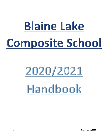# **Blaine Lake** Composite School

# 2020/2021 Handbook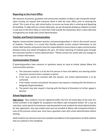# **Reporting to the Front Office**

We welcome all parents, guardians and community members to Blaine Lake Composite School. Upon arriving, we request that everyone check in with the main office, prior to entering the school. This is part of our safe school policy, to ensure we know who is entering and departing the building. To align with our school safety plan, we ask all parents picking up students to check in and wait at the front office or meet their child outside the elementary doors unless alternate arrangements are made with school administration.

## **Teacher and Parent Communication**

Regular communication between teachers and parents/guardians is vital to the overall success of students. Therefore, it is crucial that families provide current contact information to the school. Both teachers and parents have the responsibility to ensure there is open communication between home and school throughout the year. All school reporting of students goes through the classroom teacher or school administration. \*Please contact the school with any changes to your contact information.

### **Communication Protocol**

If parents/guardians have concerns or questions about an issue at school, please follow this communication process:

- a. The classroom teacher is to be the first person to hear and address any learning and/or classroom concerns from a student or parent.
- b. If the issue cannot be resolved with the teacher, the school administration is to be contacted.
- c. If the matter remains unresolved, the parent may request a meeting with the Director or designate (Superintendent).
- d. The parent may also request a hearing with the Board of Education to further appeal a decision

### **School Registration**

**High-School** - New students must be registered within the first 10 school days at the start of a school semester to be eligible for acceptance into Blaine Lake Composite School. On a case by case basis, some special circumstances may be granted to new students by school administration for late registration. Any new student who was not enrolled at Blaine Lake Composite School in June of the previous school year must have a guardian meet with school administration before starting.

Adult students are welcome and must complete and adhere to the expectations of adult students that are outlined in this handbook.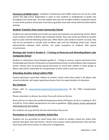**Elementary & Middle School** – Students in elementary and middle school are not on the credit system like high-school. Registration is open to new students in kindergarten to grade nine throughout the school year. Any new student who was not enrolled at Blaine Composite School in June of the previous school year must have a guardian meet with school administration before starting.

# **Student Transfers from Leask Community School**

Students are only permitted one transfer per school year between our partnering schools. When Leask students transfer to Blaine Lake Composite School, they may not be permitted to transfer back to Leask until the following school year. When Blaine Lake students transfer to Leask, they will not be permitted to transfer back to Blaine Lake until the following school year. School administration between both schools, can make exceptions to students with special circumstances.

# **Muskeg Lake Youth in Grades K – 7 (Living on Reserve) and Attending Blaine Lake Composite School**

Students in elementary school between grades K - 7 living on reserve, require permission from the Muskeg Lake Director of Education to be granted permission to attend Blaine Lake Composite School. Parents who are granted special permission to enroll their children in these grades at Blaine Lake will be responsible for transportation of their child to and from school.

### **Attending Another School within PSSD**

Parents planning to send their children to another school, when they reside in the Blaine Lake school jurisdiction, will require special permission from the superintendent of education.

### **Bus Students**

Please refer to [www.spiritsd.ca/parents/transportation.htm](http://www.spiritsd.ca/parents/transportation.htm) for the PSSD transportation guidelines.

Please remember to call your bus driver if you will not be on the bus.

Buses will not run when the combined temperature/wind chill factors result in a reading of -40 C at 6:00 am. Prince Albert temperatures are used as guidelines. PSSD schools remain operational when busses are not running.

Bus students are to go directly into the school when they arrive.

### **Permission to Travel on Another School Bus**

Students are not permitted to travel home with a friend on another school bus unless their parents have given them permission. Parents must contact school administration who will then touch base with the bus driver to make prior arrangements.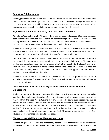# **Reporting Child Absences**

Parents/guardians can either text the school cell phone or call the main office to report their child's absence. We encourage parents to communicate all absences through the main office only; classroom teachers will be informed of student absences through the main office. Unexcused absences will result in follow up communication from the school.

### **High School Student Attendance, Lates and Course Removal**

Attendance/Course Removal – A Student who is failing a class and exceeds 20 or more absences, both unexcused and excused will be removed from their high-school course. Students who are passing a course that have 20 or more absences unexcused and excused will be removed from a course to work independently (in a designated area) within the school.

*\*Important Note:* High-School classes are made up of 100 hours of coursework. Students who are missing 20 classes have lost 20% of their coursework. Showing up for work is an expectation that employers will have of students who enter the workforce upon graduation.

Lates – A Student who has 10 lates in a high school course will not be permitted to attend the course until their parent/guardian comes in to meet with school administration. The parent (s), student and school administration will create a plan that will assist a tardy student arriving on time. This will occur, before they are reinstated back into their class. At 15, 20 and 25 lates, this process will continue, where parents will be asked to come in to support the school before a student is reinstated back into their class.

*\*Important Note:* Students who show up to their classes late cause disruptions for their teachers and fellow classmates. "Being on time" is a life-skill that will be required of students when they enter the workforce.

# **Adult Students (over the age of 18) – School Attendance and Behaviour Expectations**

Students who are over the age of 18 are considered adults, which means they are held to a higher standard. If an adult student reaches 10 or more absences in a high-school course, they will be removed from the class. Adult students that are consistently late to their classes may also be considered for removal from courses. All cases will be handled at the discretion of school administration. It is imperative that adult students arrive to class on time and "act like adult students". Disrupting the learning environment for other students does not meet our school values guidelines. Removal from courses or the Adult 12 program may be the result. Each situation will be managed on a case to case basis.

### **Elementary & Middle School Absences and Lates**

Students in grades  $K - 9$  who are consistently absent or late for their classes statistically fall behind in their studies. Parents will be contacted by classroom teachers when attendance or lates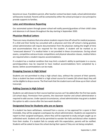become an issue. If problems persist, after teacher contact has been made, school administration will become involved. Parents will be contacted by either the school principal or vice-principal to provide supports to families.

# **Lates and Attendance Reporting**

Our automated system through power-school will notify parents/guardians of their child's lates and absences in all classes throughout the day starting in September 2020.

# **Physician Medical Letters**

There are many situations that arise where students require time off school for medical purposes. If a child and their family has consulted with a physician and time off school is being granted, school administration will require documentation from the physician stating the length of time and accommodations that are required for the student. A student will be marked as an "unexcused absence" if a medical letter is not provided in these circumstances. During school exams, competitive extracurricular competitions and physical education classes, medical letters are required when a student requires accommodations.

If a student has a medical condition that may limit a student's ability to participate in a course, parent/guardians may be required to have medical accommodations form completed by a doctor, before accommodations can be made.

# **Dropping Courses in High School**

Students are not permitted to drop a high school class, without the consent of their parents. Once a student has been enrolled in a high school course for 6 weeks (30 school days) they will not be eligible to drop a course. The final mark that the student earns will show up on their school transcript.

### **Adding Courses in High School**

Students can add classes to their course load but courses can't be added after the first two weeks (10 school days). Permission from parents, the classroom teacher and school administration is required to add courses. Under special circumstances, school administration may grant a student the option to add a course after the two-week deadline.

# **Designated Area for Students who are on Spares**

If a student has been withdrawn, removed from a course, or has approval for a spare in their timetable, they will be assigned a workspace by school administration. Students are expected to report to their assigned workspace, where they will be expected to study and get caught up on unfinished work. Students will not be permitted to wander the halls and distract other students from their studies. If a student fails to comply with this expectation, parents will be notified. Students will be asked to leave the school during their spares if they are not being compliant.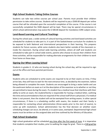# **High School Students Taking Online Courses**

Students can take two online courses per school year. Parents must provide their children permission to take online courses. Students will be required to pay a \$500.00 deposit per online course that will be refunded upon the successful completion of the course. If the course is not successfully completed the \$500 deposit will be kept. There may be special circumstances in which school administration may waive the \$500.00 deposit for mandatory CORE subject areas.

## **Land-Based Learning and Cultural Teachings**

During the school year, a wide variety of cultural learning activities and land-based activities are scheduled for students to take part in; it is part of the Saskatchewan curriculum for students to be exposed to both National and International perspectives in their learning. This prepares students for future success, while some students also learn better outside of the classroom vs. inside the classroom. During school wide learning activities, where all staff and students are scheduled to take part in school wide events, parents who choose to excuse their children from these activities, will be responsible for making alternate arrangements for their children to work from home on these days.

## **Signing Out When Leaving School**

Students in grades 6 -12 who are leaving school during the school day, will be required to sign out at the office and have parental permission.

# **Exams**

Students who are scheduled to write exams are required to be at their exams on time, if they arrive late, they will have to wait for the next entrance time, as decided by the examiner, before being allowed to complete the exam. Students are encouraged to bring a water bottle and use the washroom before an exam as it at the description of the examiner as to whether or not they are permitted to leave during the exam. If a student has a medical issue that interferes with their ability to write an exam, the student/family is responsible for having a medical letter, outlining the time and accommodationsthat are required of the school staff (from a physician). If a medical letter is not present, then the student will not be exempted from writing exams. In other special circumstances, if there is a scheduling conflict with exams, the student and their family is responsible for contacting school administration (three-weeks prior to the start of exams), to come up with resolutions. School administration has the final decision on whether exam scheduling changes can occur, be altered, or in some cases, exempted. Departmental high school exams must be written on the assigned date and time outlined by the Ministry of Education.

### **High School Graduation**

High school graduation will be scheduled any time after the first week of June. It is imperative that students complete their studies, prior to walking the stage for grad. There is a  $$30$  grad fee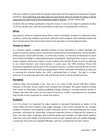that each student is responsible for paying to help assist with the expenses of putting on the grad ceremony. Any fundraising that takes place for grad will be done so outside of school; it will be organized and supervised by the graduating student's families, not the school staff.

Students that are failing a graduation required course, or are not on target to graduate by May 31 of the calendar year, will not be permitted to take part in the graduation ceremony.

# **Abuse**

Any physical, verbal or emotional abuse that is used to intimidate, threaten or undermine other students, community members and school staff will not be accepted. Each individual matter will have consequences that will be determined at the discretion of school administration.

# **Threats to Harm**

In a situation where a student identifies threats to harm themselves or others (through any means of communication), and it's overheard or witnessed by a parent/guardian, family member, fellow student, school staff member, or community member, it is the duty of individuals to report this to either the RCMP or school administration immediately. Uttering threats to harm is serious. Proper supports will be put in place to assist students who identify threats to harm by adhering to our school division's safe school policies. In some cases, the VTRA (Violence Threat Risk Assessment) guidelines will be part of the resolution process. A student uttering threats of harm will be removed from school and parents/guardians will be contacted immediately to take part in resolving the situation before the child is permitted back in school. Our goal is to keep everyone in our learning community safe and threats of harm will be treated seriously.

# **Horseplay**

Students often feel horseplay is fun. They see it as a way to joke around with their friends, however, in the past, serious injuries have resulted from horseplay. We expect students to keep their hands to themselves; pushing, grabbing, poking, tripping or touching another person in anyway may seem like a joke, but can result in injuries or conflict. Consequences for horseplay may include school suspension to resolve the matters.

# **Profanity**

In a K-12 school, it is important for older students to represent themselves as leaders in the school. When we have students using vulgar language, it sets a poor example for our younger students. Profanity is not accepted in public institutions and it is not something that our school promotes. Learning to be responsible, caring and respectful citizens is important for students to learn. We have major challenges with profanity being used amongst our high-school students and a few cases with middle and elementary youth as well. Students who use volatile language, in particular those who are repeated offenders, will face consequences for their actions.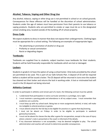# **Alcohol, Tobacco, Vaping and Other Drug Use**

Any alcohol, tobacco, vaping or other drug use is not permitted in school or on school grounds. Consequences for these offences will be handled at the discretion of school administration. Students under the age of sixteen must have permission from their parents to use tobacco or vaping products. Students who are permitted to smoke or vape must do so in the designated school smoking area, located outside of the building off of school property.

### **Dress Code**

We expect students to dress in manner that does not expose their undergarments. Clothing logos must be appropriate for a school setting. The following are examples of inappropriate logos:

- The advertising or promotion of alcohol or drug use
- Profanity or sexual connotation
- Racist or degrading slogans

### **Textbooks**

Textbooks are supplied free to students; subject teachers issue textbooks for their students. Students will be held financially responsible for textbooks which are lost or damaged.

### **Lockers**

Students in grade 6-12 have the option of using a school locker. Only locks provided by the school are permitted to be used. This is part of our Safe Schools Plan. A deposit of \$5 will be required before a student will be issued a locker. The \$5 deposit will be returned in June once the student has cleaned out their locker and returns the lock in working order. A lost or mistreated lock will result in the \$5 deposit not being returned.

### **Athletics Contract**

In order to participate in athletics and remain part of a team, the following contract must be upheld.

- 1. I understand that participation in extra-curricular activities is a privilege, not a right.
- 2. I must maintain a passing grade and attendance in all my subject areas. I must remember that academics are a priority.
- 3. I must keep up with my school work. Being two or more assignments behind, in total, will make me ineligible to attend practices or games.
- 4. I must attend school for the full day to be eligible for practice or a game that day/evening.
- 5. I must not be absent on Fridays in order to be eligible to participate in weekend games/tournaments.
- 6. I must not be absent for classes the day after a game for recuperation, except in the case of injury where a doctor's note is presented or the coach is informed of the details.
- 7. If my classroom behaviour is not acceptable, I may be deemed ineligible to play. The school administration and coaches will consult to determine possible consequences.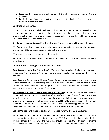- 8. Suspension from class automatically carries with it a player suspension from practice and competition.
- 9. I realize it is a privilege to represent Blaine Lake Composite School. I will conduct myself in a respectful manner at all times.

## **Cell Phone Free School**

Blaine Lake Composite is a cell phone free school. Students are not permitted to have cell phones on campus. Students can bring their phones to school, but they are expected to drop their phones of at the main office prior to the start of the school day, where they will be safely locked up and returned at the end of the day.

 $1<sup>st</sup>$  offence – if a student is caught with a cell phone it is confiscated until the end of the day.

2<sup>nd</sup> offense – a student is caught with a cell phone for a second offence, the phone is confiscated and parents will be contacted to come and pick the phone up.

3<sup>rd</sup> offence – student will receive a school suspension.

4 or more offenses – more severe consequences will be put in place at the discretion of school administration.

### **Cell Phone Use During Extracurricular Activities**

**Extra-Curricular Activities (After School**) – The supervisors/coaches of school clubs or sports teams have "the final decision" with cell phone usage policies for their respective school teams or clubs.

**Extra-Curricular Competitions & Phone** Usage – During sports, music, dance or arts competitions (where another school is competing against our students), cell phones will be permitted for student fans to use. These are "special days" or circumstances and student fans may want to take a few pictures while taking in some of the action.

**Extra-Curricular Activities/School Field Trips (Off Campus**) – students are permitted to have cell phones with them when they are travelling off campus (at any time of the day) for extracurricular activities; however, coaches may set restrictions on how their student participants use cell phones on trips taking place off campus. Parents should be able to access their children via cell phone when they are travelling off campus. School administration may approve students to have cell phones with them during some class field trips that take place during the year.

### **School Values for Students and Staff – (please refer to the values charts)**

Please refer to the attached school values chart outline, which all students and teachers participated in creating together in September of 2018 (this chart has been updated). The students agreed that these were the values that should be demonstrated by them, in order to have a positive learning community. The teaching staff also created a values chart of their own,